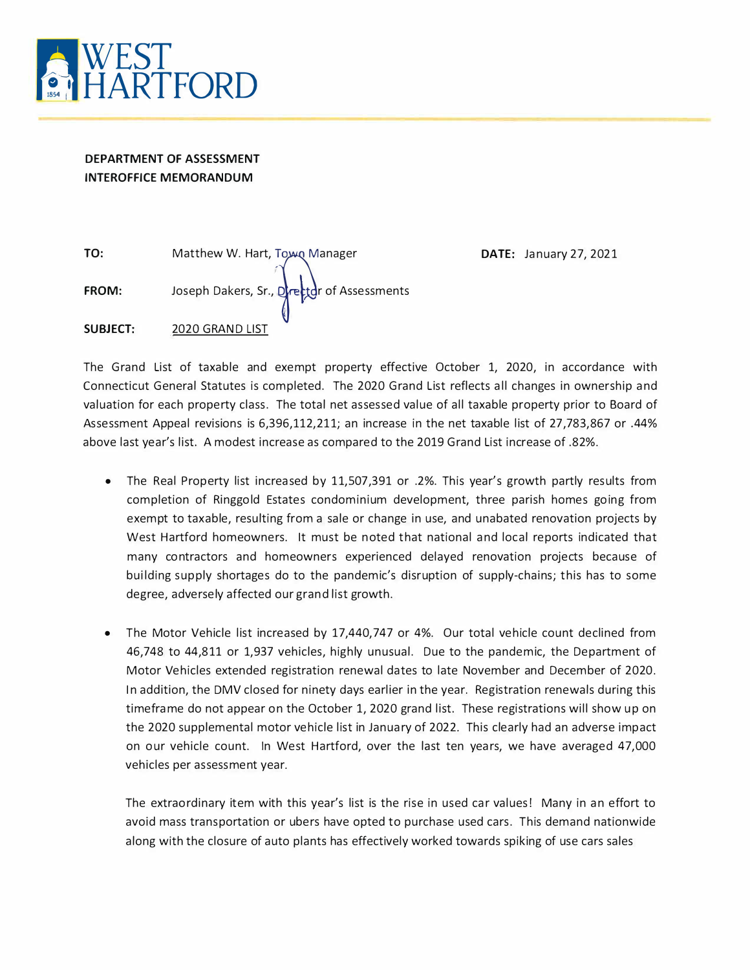

# **DEPARTMENT OF ASSESSMENT INTEROFFICE MEMORANDUM**

| TO:             | Matthew W. Hart, Town Manager              |
|-----------------|--------------------------------------------|
| <b>FROM:</b>    | Joseph Dakers, Sr., Drettor of Assessments |
| <b>SUBJECT:</b> | 2020 GRAND LIST                            |

**DATE: January 27, 2021** 

The Grand List of taxable and exempt property effective October 1, 2020, in accordance with Connecticut General Statutes is completed. The 2020 Grand List reflects all changes in ownership and valuation for each property class. The total net assessed value of all taxable property prior to Board of Assessment Appeal revisions is 6,396,112,211; an increase in the net taxable list of 27,783,867 or .44% above last year's list. A modest increase as compared to the 2019 Grand List increase of .82%.

- The Real Property list increased by 11,507,391 or .2%. This year's growth partly results from completion of Ringgold Estates condominium development, three parish homes going from exempt to taxable, resulting from a sale or change in use, and unabated renovation projects by West Hartford homeowners. It must be noted that national and local reports indicated that many contractors and homeowners experienced delayed renovation projects because of building supply shortages do to the pandemic's disruption of supply-chains; this has to some degree, adversely affected our grand list growth.
- The Motor Vehicle list increased by 17,440,747 or 4%. Our total vehicle count declined from 46,748 to 44,811 or 1,937 vehicles, highly unusual. Due to the pandemic, the Department of Motor Vehicles extended registration renewal dates to late November and December of 2020. In addition, the OMV closed for ninety days earlier in the year. Registration renewals during this timeframe do not appear on the October 1, 2020 grand list. These registrations will show up on the 2020 supplemental motor vehicle list in January of 2022. This clearly had an adverse impact on our vehicle count. In West Hartford, over the last ten years, we have averaged 47,000 vehicles per assessment year.

The extraordinary item with this year's list is the rise in used car values! Many in an effort to avoid mass transportation or ubers have opted to purchase used cars. This demand nationwide along with the closure of auto plants has effectively worked towards spiking of use cars sales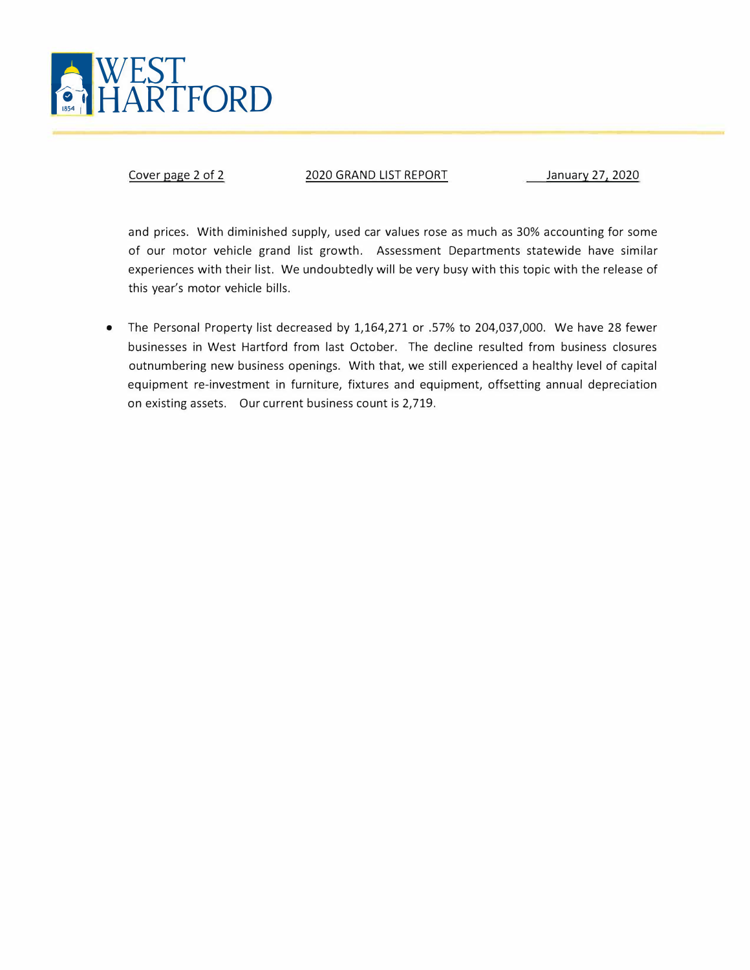

Cover page 2 of 2 2020 GRAND LIST REPORT January 27, 2020

and prices. With diminished supply, used car values rose as much as 30% accounting for some of our motor vehicle grand list growth. Assessment Departments statewide have similar experiences with their list. We undoubtedly will be very busy with this topic with the release of this year's motor vehicle bills.

• The Personal Property list decreased by 1,164,271 or .57% to 204,037,000. We have 28 fewer businesses in West Hartford from last October. The decline resulted from business closures outnumbering new business openings. With that, we still experienced a healthy level of capital equipment re-investment in furniture, fixtures and equipment, offsetting annual depreciation on existing assets. Our current business count is 2,719.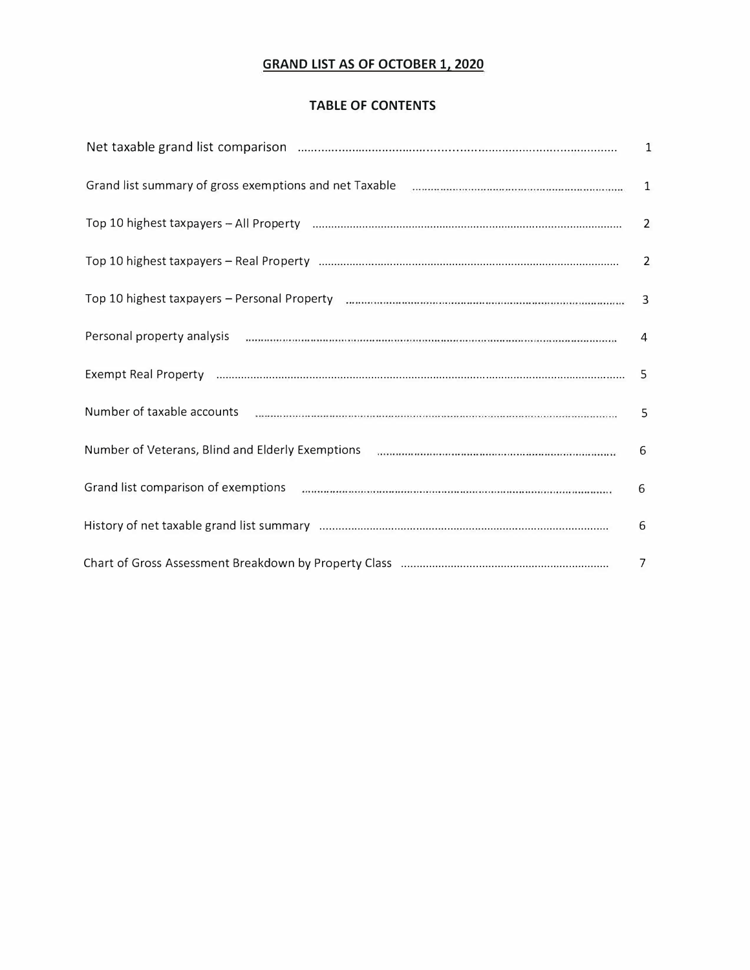# **GRAND LIST AS OF OCTOBER 1, 2020**

# **TABLE OF CONTENTS**

| Personal property analysis manufactured and announcement continuous communication of the contractor of the 4   |   |
|----------------------------------------------------------------------------------------------------------------|---|
| Exempt Real Property manufactured and the control of the control of the state of the state of the state of the |   |
|                                                                                                                |   |
| Number of Veterans, Blind and Elderly Exemptions manuscriptions and contained account of the 6                 |   |
| Grand list comparison of exemptions (manufacture manufacture manufacture manufacture manufacture               | 6 |
|                                                                                                                | 6 |
|                                                                                                                |   |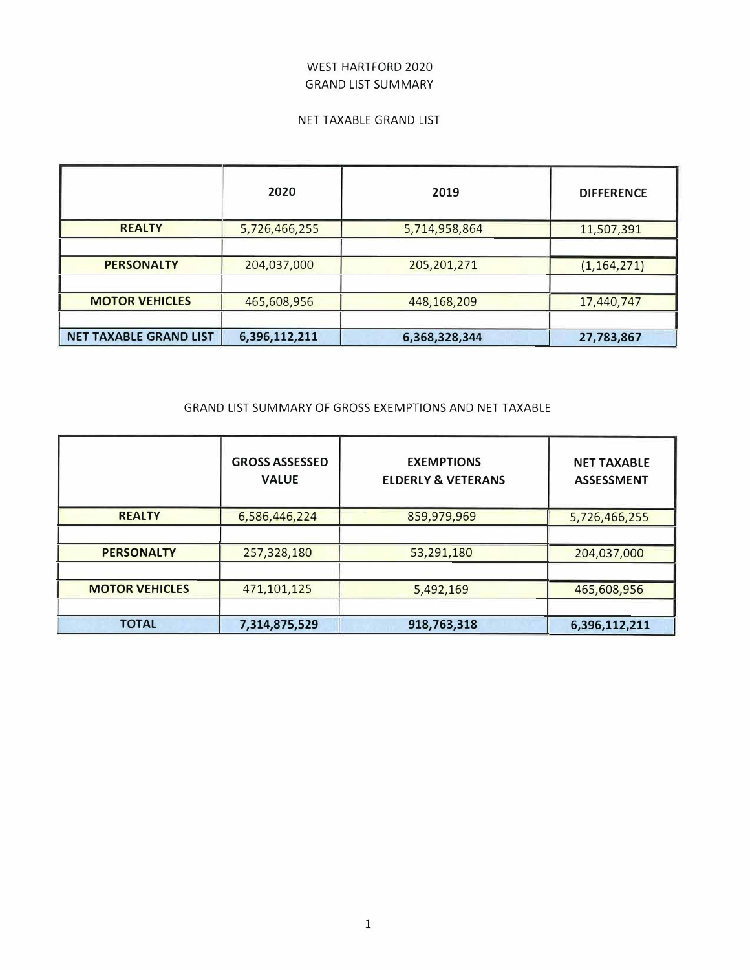# WEST HARTFORD 2020 GRAND LIST SUMMARY

## NET TAXABLE GRAND LIST

|                               | 2020          | 2019          | <b>DIFFERENCE</b> |
|-------------------------------|---------------|---------------|-------------------|
| <b>REALTY</b>                 | 5,726,466,255 | 5,714,958,864 | 11,507,391        |
|                               |               |               |                   |
| <b>PERSONALTY</b>             | 204,037,000   | 205, 201, 271 | (1, 164, 271)     |
|                               |               |               |                   |
| <b>MOTOR VEHICLES</b>         | 465,608,956   | 448,168,209   | 17,440,747        |
|                               |               |               |                   |
| <b>NET TAXABLE GRAND LIST</b> | 6,396,112,211 | 6,368,328,344 | 27,783,867        |

## GRAND LIST SUMMARY OF GROSS EXEMPTIONS AND NET TAXABLE

|                       | <b>GROSS ASSESSED</b><br><b>VALUE</b> | <b>EXEMPTIONS</b><br><b>ELDERLY &amp; VETERANS</b> | <b>NET TAXABLE</b><br><b>ASSESSMENT</b> |
|-----------------------|---------------------------------------|----------------------------------------------------|-----------------------------------------|
| <b>REALTY</b>         | 6,586,446,224                         | 859,979,969                                        | 5,726,466,255                           |
|                       |                                       |                                                    |                                         |
| <b>PERSONALTY</b>     | 257,328,180                           | 53,291,180                                         | 204,037,000                             |
|                       |                                       |                                                    |                                         |
| <b>MOTOR VEHICLES</b> | 471,101,125                           | 5,492,169                                          | 465,608,956                             |
|                       |                                       |                                                    |                                         |
| <b>TOTAL</b>          | 7,314,875,529                         | 918,763,318                                        | 6,396,112,211                           |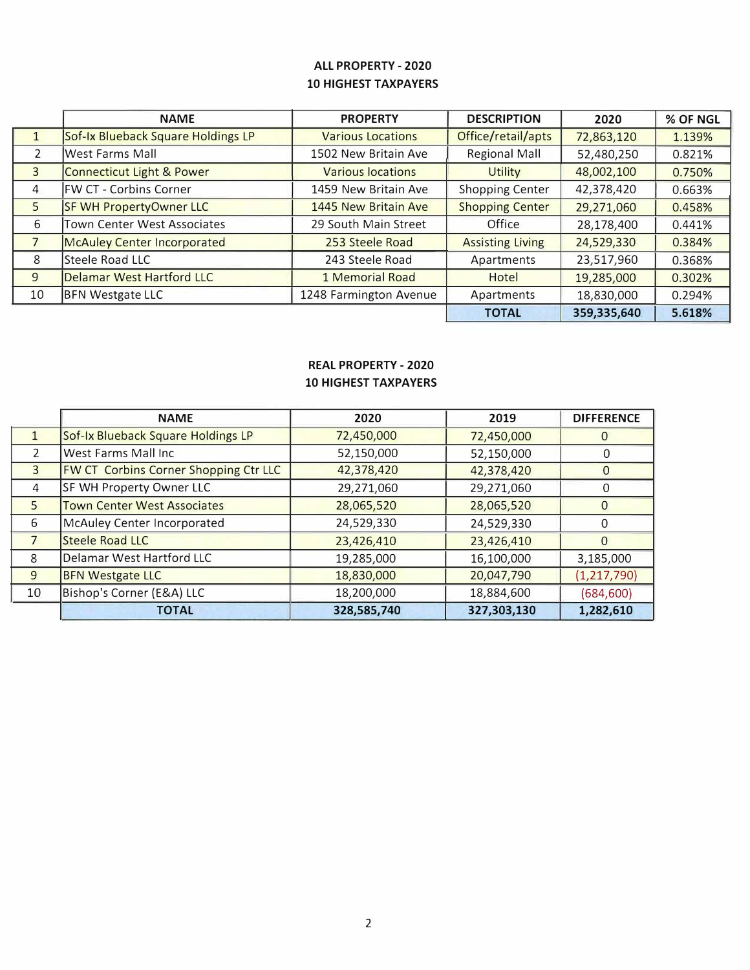# **ALL PROPERTY - 2020 10 HIGHEST TAXPAYERS**

|                | <b>NAME</b>                        | <b>PROPERTY</b>          | <b>DESCRIPTION</b>      | 2020        | % OF NGL |
|----------------|------------------------------------|--------------------------|-------------------------|-------------|----------|
|                | Sof-Ix Blueback Square Holdings LP | <b>Various Locations</b> | Office/retail/apts      | 72,863,120  | 1.139%   |
| $\overline{2}$ | West Farms Mall                    | 1502 New Britain Ave     | <b>Regional Mall</b>    | 52,480,250  | 0.821%   |
| 3              | Connecticut Light & Power          | <b>Various locations</b> | <b>Utility</b>          | 48,002,100  | 0.750%   |
| 4              | <b>FW CT - Corbins Corner</b>      | 1459 New Britain Ave     | <b>Shopping Center</b>  | 42,378,420  | 0.663%   |
| 5              | <b>SF WH PropertyOwner LLC</b>     | 1445 New Britain Ave     | <b>Shopping Center</b>  | 29,271,060  | 0.458%   |
| 6              | Town Center West Associates        | 29 South Main Street     | Office                  | 28,178,400  | 0.441%   |
| 7              | <b>McAuley Center Incorporated</b> | 253 Steele Road          | <b>Assisting Living</b> | 24,529,330  | 0.384%   |
| 8              | Steele Road LLC                    | 243 Steele Road          | Apartments              | 23,517,960  | 0.368%   |
| 9              | <b>Delamar West Hartford LLC</b>   | 1 Memorial Road          | Hotel                   | 19,285,000  | 0.302%   |
| 10             | <b>BFN Westgate LLC</b>            | 1248 Farmington Avenue   | Apartments              | 18,830,000  | 0.294%   |
|                |                                    |                          | <b>TOTAL</b>            | 359,335,640 | 5.618%   |

# **REAL PROPERTY - 2020 10 HIGHEST TAXPAYERS**

|               | <b>NAME</b>                                  | 2020        | 2019        | <b>DIFFERENCE</b> |
|---------------|----------------------------------------------|-------------|-------------|-------------------|
|               | Sof-Ix Blueback Square Holdings LP           | 72,450,000  | 72,450,000  |                   |
| $\mathcal{P}$ | West Farms Mall Inc                          | 52,150,000  | 52,150,000  | $\bigcap$         |
| 3             | <b>FW CT Corbins Corner Shopping Ctr LLC</b> | 42,378,420  | 42,378,420  | $\Omega$          |
| 4             | SF WH Property Owner LLC                     | 29,271,060  | 29,271,060  | O                 |
| 5             | <b>Town Center West Associates</b>           | 28,065,520  | 28,065,520  | $\Omega$          |
| 6             | McAuley Center Incorporated                  | 24,529,330  | 24,529,330  |                   |
|               | Steele Road LLC                              | 23,426,410  | 23,426,410  |                   |
| 8             | Delamar West Hartford LLC                    | 19,285,000  | 16,100,000  | 3,185,000         |
| 9             | <b>BFN Westgate LLC</b>                      | 18,830,000  | 20,047,790  | (1, 217, 790)     |
| 10            | Bishop's Corner (E&A) LLC                    | 18,200,000  | 18,884,600  | (684, 600)        |
|               | <b>TOTAL</b>                                 | 328,585,740 | 327,303,130 | 1,282,610         |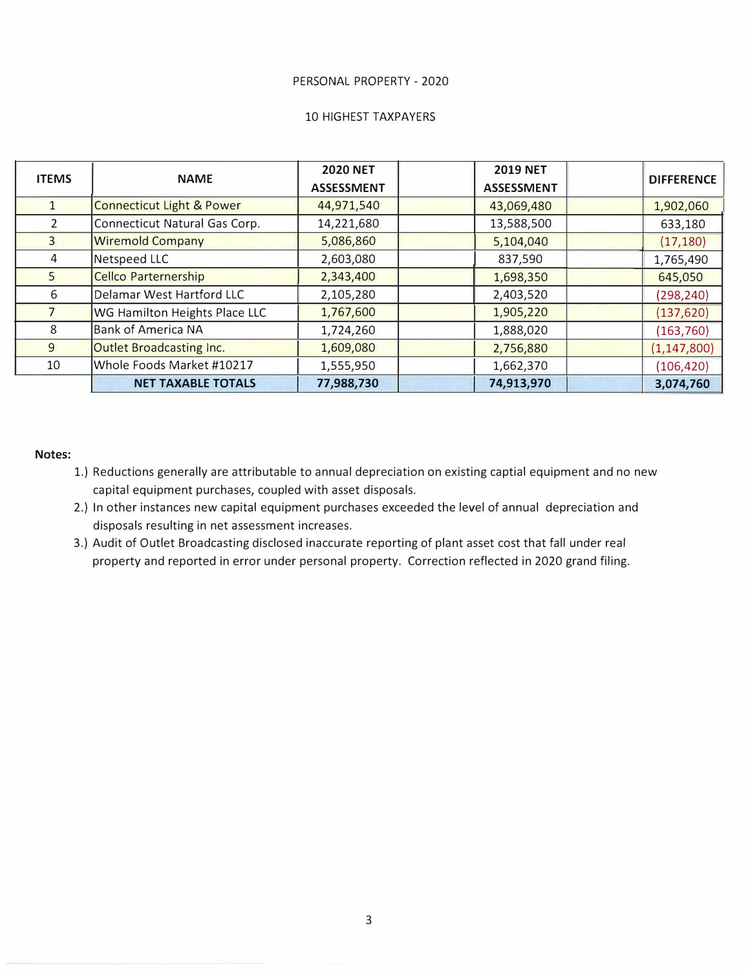#### PERSONAL PROPERTY - 2020

#### 10 HIGHEST TAXPAYERS

| <b>ITEMS</b>   | <b>NAME</b>                          | <b>2020 NET</b><br><b>ASSESSMENT</b> | <b>2019 NET</b><br><b>ASSESSMENT</b> | DIFFERENCE    |
|----------------|--------------------------------------|--------------------------------------|--------------------------------------|---------------|
|                | <b>Connecticut Light &amp; Power</b> | 44,971,540                           | 43,069,480                           | 1,902,060     |
| $\overline{2}$ | Connecticut Natural Gas Corp.        | 14,221,680                           | 13,588,500                           | 633,180       |
| $\mathbf{R}$   | <b>Wiremold Company</b>              | 5,086,860                            | 5,104,040                            | (17, 180)     |
| 4              | Netspeed LLC                         | 2,603,080                            | 837,590                              | 1,765,490     |
| 5              | <b>Cellco Parternership</b>          | 2,343,400                            | 1,698,350                            | 645,050       |
| 6              | Delamar West Hartford LLC            | 2,105,280                            | 2,403,520                            | (298, 240)    |
|                | WG Hamilton Heights Place LLC        | 1,767,600                            | 1,905,220                            | (137, 620)    |
| 8              | <b>Bank of America NA</b>            | 1,724,260                            | 1,888,020                            | (163, 760)    |
| 9              | Outlet Broadcasting Inc.             | 1,609,080                            | 2,756,880                            | (1, 147, 800) |
| 10             | Whole Foods Market #10217            | 1,555,950                            | 1,662,370                            | (106, 420)    |
|                | <b>NET TAXABLE TOTALS</b>            | 77,988,730                           | 74,913,970                           | 3,074,760     |

### **Notes:**

- 1.) Reductions generally are attributable to annual depreciation on existing captial equipment and no new capital equipment purchases, coupled with asset disposals.
- 2.) In other instances new capital equipment purchases exceeded the level of annual depreciation and disposals resulting in net assessment increases.
- 3.) Audit of Outlet Broadcasting disclosed inaccurate reporting of plant asset cost that fall under real property and reported in error under personal property. Correction reflected in 2020 grand filing.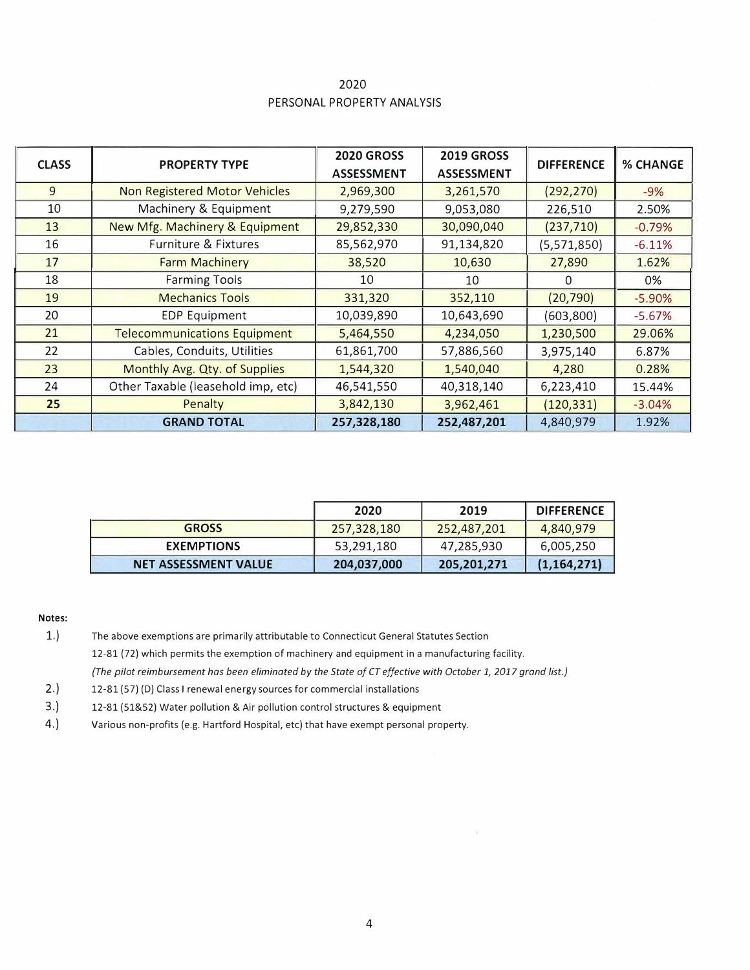| 2020                       |
|----------------------------|
| PERSONAL PROPERTY ANALYSIS |

| <b>CLASS</b> | <b>PROPERTY TYPE</b>                 | <b>2020 GROSS</b><br><b>ASSESSMENT</b> | <b>2019 GROSS</b><br><b>ASSESSMENT</b> | <b>DIFFERENCE</b> | <b>% CHANGE</b> |
|--------------|--------------------------------------|----------------------------------------|----------------------------------------|-------------------|-----------------|
| 9            | <b>Non Registered Motor Vehicles</b> | 2,969,300                              | 3,261,570                              | (292, 270)        | $-9%$           |
| 10           | Machinery & Equipment                | 9,279,590                              | 9,053,080                              | 226,510           | 2.50%           |
| 13           | New Mfg. Machinery & Equipment       | 29,852,330                             | 30,090,040                             | (237, 710)        | $-0.79%$        |
| 16           | <b>Furniture &amp; Fixtures</b>      | 85,562,970                             | 91,134,820                             | (5,571,850)       | $-6.11%$        |
| 17           | <b>Farm Machinery</b>                | 38,520                                 | 10,630                                 | 27,890            | 1.62%           |
| 18           | <b>Farming Tools</b>                 | 10                                     | 10                                     | 0                 | 0%              |
| 19           | <b>Mechanics Tools</b>               | 331,320                                | 352,110                                | (20, 790)         | $-5.90%$        |
| 20           | <b>EDP Equipment</b>                 | 10,039,890                             | 10,643,690                             | (603, 800)        | $-5.67%$        |
| 21           | <b>Telecommunications Equipment</b>  | 5,464,550                              | 4,234,050                              | 1,230,500         | 29.06%          |
| 22           | Cables, Conduits, Utilities          | 61,861,700                             | 57,886,560                             | 3,975,140         | 6.87%           |
| 23           | Monthly Avg. Qty. of Supplies        | 1,544,320                              | 1,540,040                              | 4,280             | 0.28%           |
| 24           | Other Taxable (leasehold imp, etc)   | 46,541,550                             | 40,318,140                             | 6,223,410         | 15.44%          |
| 25           | Penalty                              | 3,842,130                              | 3,962,461                              | (120, 331)        | $-3.04%$        |
|              | <b>GRAND TOTAL</b>                   | 257,328,180                            | 252,487,201                            | 4,840,979         | 1.92%           |

|                             | 2020        | 2019        | <b>DIFFERENCE</b> |
|-----------------------------|-------------|-------------|-------------------|
| <b>GROSS</b>                | 257,328,180 | 252,487,201 | 4,840,979         |
| <b>EXEMPTIONS</b>           | 53,291,180  | 47,285,930  | 6,005,250         |
| <b>NET ASSESSMENT VALUE</b> | 204,037,000 | 205,201,271 | (1, 164, 271)     |

#### **Notes:**

- 1.) The above exemptions are primarily attributable to Connecticut General Statutes Section 12-81 (72) which permits the exemption of machinery and equipment in a manufacturing facility. *{The pilot reimbursement has been eliminated by the State af CT effective with October 1, 2017 grand list.)*
- 2.) 12-81 (57) (D) Class I renewal energy sources for commercial installations
- 3.) 12-81 (51&52) Water pollution & Air pollution control structures & equipment
- 4.) Various non-profits (e.g. Hartford Hospital, etc} that have exempt personal property.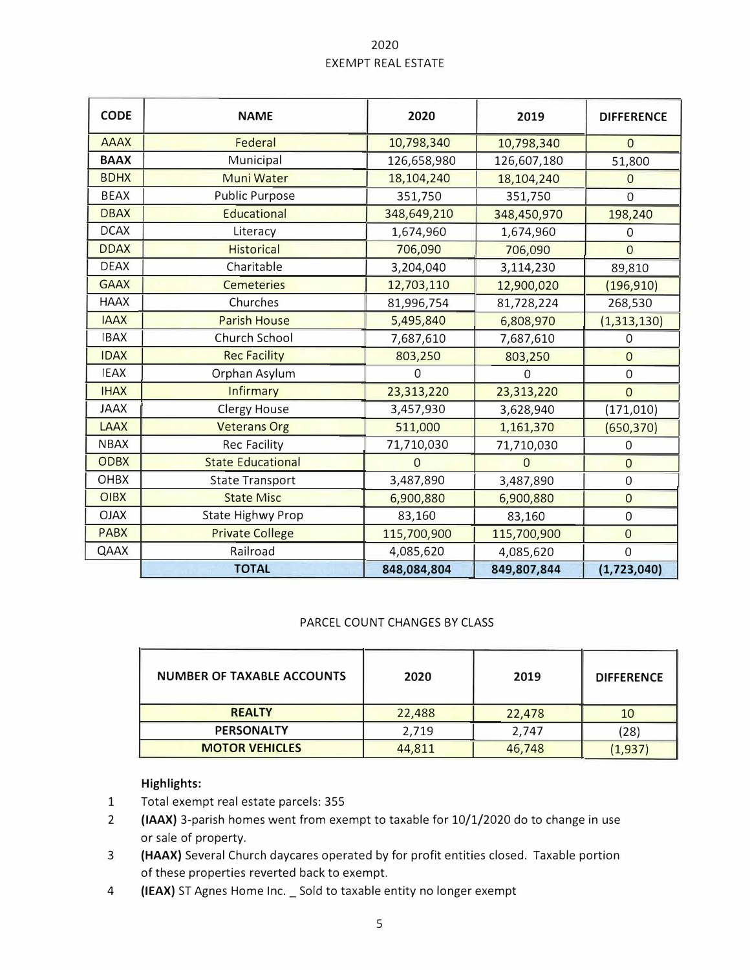# 2020 EXEMPT REAL ESTATE

| <b>CODE</b> | <b>NAME</b>              | 2020           | 2019        | <b>DIFFERENCE</b> |
|-------------|--------------------------|----------------|-------------|-------------------|
| <b>AAAX</b> | Federal                  | 10,798,340     | 10,798,340  | $\Omega$          |
| <b>BAAX</b> | Municipal                | 126,658,980    | 126,607,180 | 51,800            |
| <b>BDHX</b> | Muni Water               | 18,104,240     | 18,104,240  | $\overline{0}$    |
| <b>BEAX</b> | <b>Public Purpose</b>    | 351,750        | 351,750     | $\overline{0}$    |
| <b>DBAX</b> | Educational              | 348,649,210    | 348,450,970 | 198,240           |
| <b>DCAX</b> | Literacy                 | 1,674,960      | 1,674,960   | $\Omega$          |
| <b>DDAX</b> | <b>Historical</b>        | 706,090        | 706,090     | $\overline{0}$    |
| <b>DEAX</b> | Charitable               | 3,204,040      | 3,114,230   | 89,810            |
| <b>GAAX</b> | <b>Cemeteries</b>        | 12,703,110     | 12,900,020  | (196, 910)        |
| <b>HAAX</b> | Churches                 | 81,996,754     | 81,728,224  | 268,530           |
| <b>IAAX</b> | <b>Parish House</b>      | 5,495,840      | 6,808,970   | (1,313,130)       |
| <b>IBAX</b> | Church School            | 7,687,610      | 7,687,610   | 0                 |
| <b>IDAX</b> | <b>Rec Facility</b>      | 803,250        | 803,250     | $\overline{0}$    |
| <b>IEAX</b> | Orphan Asylum            | $\Omega$       | $\Omega$    | $\mathbf 0$       |
| <b>IHAX</b> | <b>Infirmary</b>         | 23,313,220     | 23,313,220  | $\overline{0}$    |
| <b>JAAX</b> | <b>Clergy House</b>      | 3,457,930      | 3,628,940   | (171, 010)        |
| <b>LAAX</b> | <b>Veterans Org</b>      | 511,000        | 1,161,370   | (650, 370)        |
| <b>NBAX</b> | Rec Facility             | 71,710,030     | 71,710,030  | $\boldsymbol{0}$  |
| <b>ODBX</b> | <b>State Educational</b> | $\overline{0}$ | $\Omega$    | $\mathbf 0$       |
| OHBX        | <b>State Transport</b>   | 3,487,890      | 3,487,890   | $\mathbf 0$       |
| <b>OIBX</b> | <b>State Misc</b>        | 6,900,880      | 6,900,880   | $\overline{0}$    |
| <b>OJAX</b> | State Highwy Prop        | 83,160         | 83,160      | $\boldsymbol{0}$  |
| <b>PABX</b> | <b>Private College</b>   | 115,700,900    | 115,700,900 | $\overline{0}$    |
| QAAX        | Railroad                 | 4,085,620      | 4,085,620   | 0                 |
|             | <b>TOTAL</b>             | 848,084,804    | 849,807,844 | (1,723,040)       |

## PARCEL COUNT CHANGES BY CLASS

| NUMBER OF TAXABLE ACCOUNTS | 2020   | 2019   | <b>DIFFERENCE</b> |
|----------------------------|--------|--------|-------------------|
| <b>REALTY</b>              | 22,488 | 22,478 | 10                |
| <b>PERSONALTY</b>          | 2.719  | 2,747  | (28)              |
| <b>MOTOR VEHICLES</b>      | 44,811 | 46,748 | (1,937)           |

# **Highlights:**

- 1 Total exempt real estate parcels: 355
- 2 **(IAAX)** 3-parish homes went from exempt to taxable for 10/1/2020 do to change in use or sale of property.
- 3 **(HAAX}** Several Church daycares operated by for profit entities closed. Taxable portion of these properties reverted back to exempt.
- 4 **(IEAX)** ST Agnes Home Inc.\_ Sold to taxable entity no longer exempt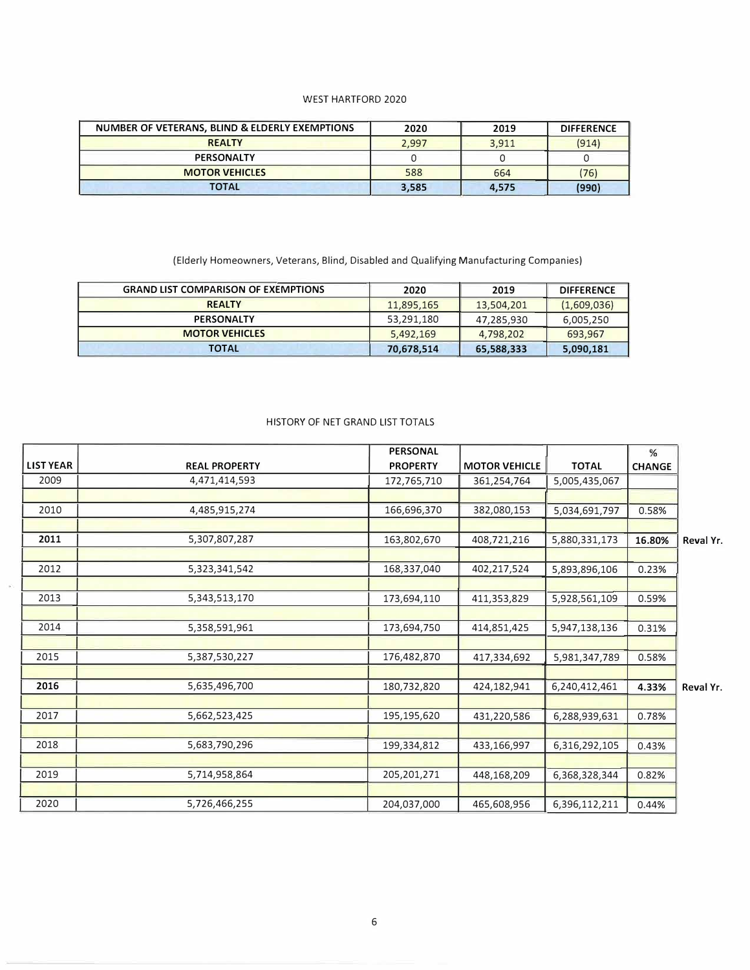#### WEST HARTFORD 2020

| NUMBER OF VETERANS, BLIND & ELDERLY EXEMPTIONS | 2020  | 2019  | <b>DIFFERENCE</b> |
|------------------------------------------------|-------|-------|-------------------|
| <b>REALTY</b>                                  | 2.997 | 3.911 | (914)             |
| <b>PERSONALTY</b>                              |       |       |                   |
| <b>MOTOR VEHICLES</b>                          | 588   | 664   | (76)              |
| TOTAL                                          | 3,585 | 4,575 | (990)             |

(Elderly Homeowners, Veterans, Blind, Disabled and Qualifying Manufacturing Companies)

| <b>GRAND LIST COMPARISON OF EXEMPTIONS</b> | 2020       | 2019       | <b>DIFFERENCE</b> |
|--------------------------------------------|------------|------------|-------------------|
| <b>REALTY</b>                              | 11,895,165 | 13,504,201 | (1,609,036)       |
| <b>PERSONALTY</b>                          | 53,291,180 | 47,285,930 | 6,005,250         |
| <b>MOTOR VEHICLES</b>                      | 5,492,169  | 4,798,202  | 693,967           |
| <b>TOTAL</b>                               | 70,678,514 | 65,588,333 | 5,090,181         |

#### HISTORY OF NET GRAND LIST TOTALS

|                  |                      | <b>PERSONAL</b> |                      |               | %             |           |
|------------------|----------------------|-----------------|----------------------|---------------|---------------|-----------|
| <b>LIST YEAR</b> | <b>REAL PROPERTY</b> | <b>PROPERTY</b> | <b>MOTOR VEHICLE</b> | <b>TOTAL</b>  | <b>CHANGE</b> |           |
| 2009             | 4,471,414,593        | 172,765,710     | 361,254,764          | 5,005,435,067 |               |           |
|                  |                      |                 |                      |               |               |           |
| 2010             | 4,485,915,274        | 166,696,370     | 382,080,153          | 5,034,691,797 | 0.58%         |           |
|                  |                      |                 |                      |               |               |           |
| 2011             | 5,307,807,287        | 163,802,670     | 408,721,216          | 5,880,331,173 | 16.80%        | Reval Yr. |
|                  |                      |                 |                      |               |               |           |
| 2012             | 5,323,341,542        | 168,337,040     | 402,217,524          | 5,893,896,106 | 0.23%         |           |
|                  |                      |                 |                      |               |               |           |
| 2013             | 5,343,513,170        | 173,694,110     | 411,353,829          | 5,928,561,109 | 0.59%         |           |
| 2014             | 5,358,591,961        | 173,694,750     | 414,851,425          | 5,947,138,136 | 0.31%         |           |
|                  |                      |                 |                      |               |               |           |
| 2015             | 5,387,530,227        | 176,482,870     | 417,334,692          | 5,981,347,789 | 0.58%         |           |
|                  |                      |                 |                      |               |               |           |
| 2016             | 5,635,496,700        | 180,732,820     | 424,182,941          | 6,240,412,461 | 4.33%         | Reval Yr. |
|                  |                      |                 |                      |               |               |           |
| 2017             | 5,662,523,425        | 195,195,620     | 431,220,586          | 6,288,939,631 | 0.78%         |           |
|                  |                      |                 |                      |               |               |           |
| 2018             | 5,683,790,296        | 199,334,812     | 433,166,997          | 6,316,292,105 | 0.43%         |           |
|                  |                      |                 |                      |               |               |           |
| 2019             | 5,714,958,864        | 205, 201, 271   | 448,168,209          | 6,368,328,344 | 0.82%         |           |
|                  |                      |                 |                      |               |               |           |
| 2020             | 5,726,466,255        | 204,037,000     | 465,608,956          | 6,396,112,211 | 0.44%         |           |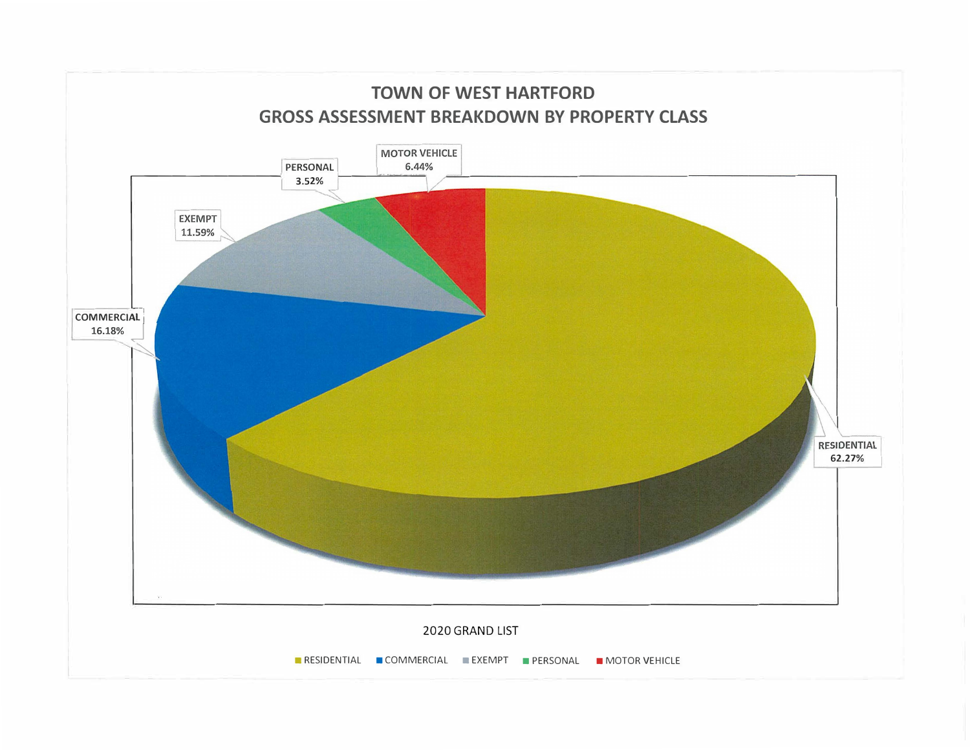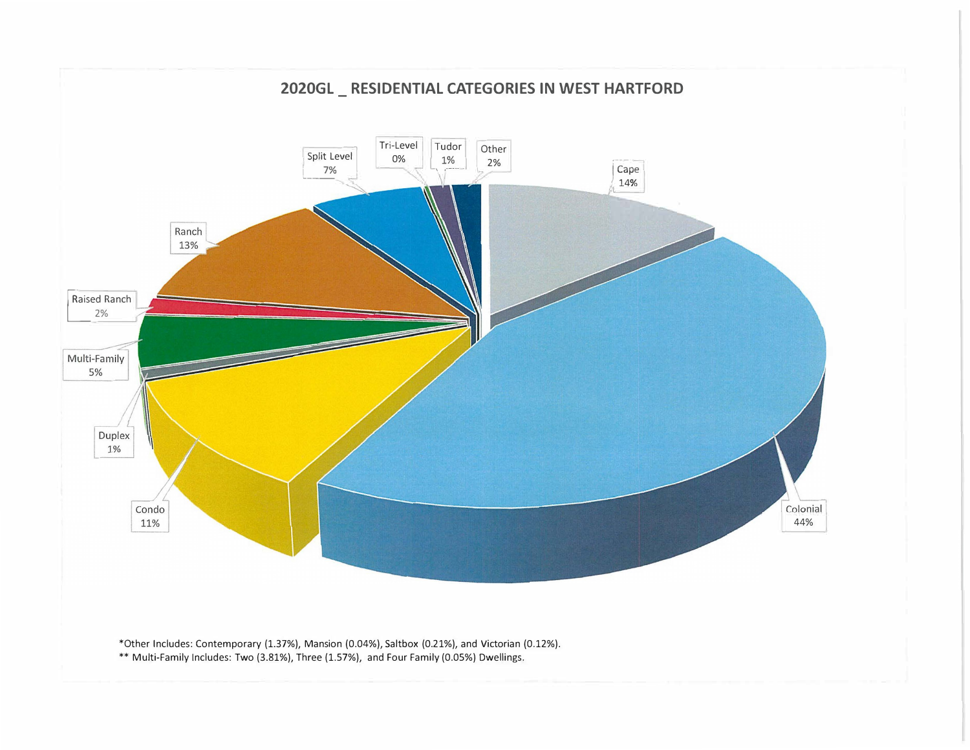

\*Other Includes: Contemporary (1.37%), Mansion {0.04%), Saltbox (0.21%), and Victorian {0.12%). \*\* Multi-Family Includes: Two (3.81%), Three (1.57%), and Four Family (0.05%) Dwellings.